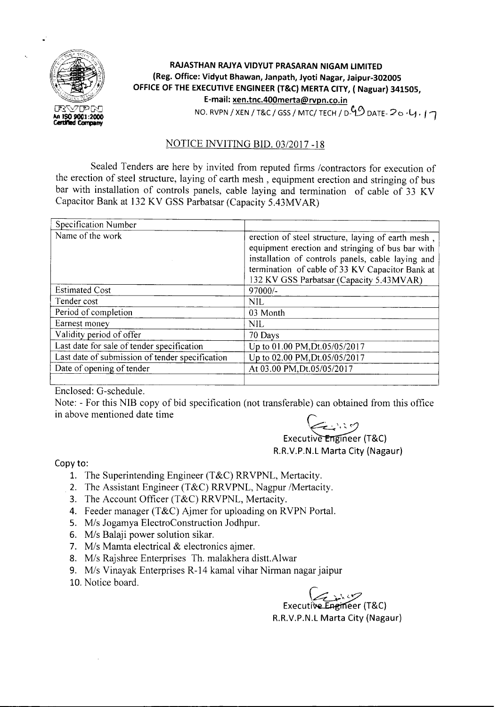

## **RAJASTHAN RAJYA VIDYUT PRASARAN NIGAM LIMITED (Reg. Office: Vidyut Bhawan, Janpath, Jyoti Nagar, Jaipur-302005 OFFICE OF THE EXECUTIVEENGINEER (T&C) MERTA CITY, ( Naguar) 341505, E-mail: xen.tnc.400merta@rvpn.co.in** NO. RVPN / XEN / T&C / GSS / MTC/ TECH / D $9$  DATE- $20.4$ ; 17

NOTICE INVITING BID. *03/2017 -18*

Sealed Tenders are here by invited from reputed firms / contractors for execution of the erection of steel structure, laying of earth mesh, equipment erection and stringing of bus bar with installation of controls panels, cable laying and termination of cable of 33 KV Capacitor Bank at 132 KV GSS Parbatsar (Capacity 5.43MV AR)

| Specification Number                            |                                                                                                                                                                                                                                                            |  |  |  |
|-------------------------------------------------|------------------------------------------------------------------------------------------------------------------------------------------------------------------------------------------------------------------------------------------------------------|--|--|--|
| Name of the work                                | erection of steel structure, laying of earth mesh,<br>equipment erection and stringing of bus bar with<br>installation of controls panels, cable laying and<br>termination of cable of 33 KV Capacitor Bank at<br>132 KV GSS Parbatsar (Capacity 5.43MVAR) |  |  |  |
| <b>Estimated Cost</b>                           | 97000/-                                                                                                                                                                                                                                                    |  |  |  |
| Tender cost                                     | <b>NIL</b>                                                                                                                                                                                                                                                 |  |  |  |
| Period of completion                            | 03 Month                                                                                                                                                                                                                                                   |  |  |  |
| Earnest money                                   | <b>NIL</b>                                                                                                                                                                                                                                                 |  |  |  |
| Validity period of offer                        | 70 Days                                                                                                                                                                                                                                                    |  |  |  |
| Last date for sale of tender specification      | Up to 01.00 PM, Dt.05/05/2017                                                                                                                                                                                                                              |  |  |  |
| Last date of submission of tender specification | Up to 02.00 PM, Dt.05/05/2017                                                                                                                                                                                                                              |  |  |  |
| Date of opening of tender                       | At 03.00 PM, Dt.05/05/2017                                                                                                                                                                                                                                 |  |  |  |
|                                                 |                                                                                                                                                                                                                                                            |  |  |  |

Enclosed: G-schedule.

Note: - For this NIB copy of bid specification (not transferable) can obtained from this office Encrosed: G senedate.<br>Note: - For this NIB copy of bid specification (not transferable) can obtain above mentioned date time

## $\sum_{x} x^{x}$  (T&C) R.R.V.P.N.L Marta City (Nagaur)

Copy to:

- 1. The Superintending Engineer (T&C) RRVPNL, Mertacity.
- 2. The Assistant Engineer (T&C) RRVPNL, Nagpur /Mertacity.
- 3. The Account Officer (T&C) RRVPNL, Mertacity.
- 4. Feeder manager (T&C) Ajmer for uploading on RVPN Portal.
- *5. Mis* Jogamya ElectroConstruction Jodhpur.
- *6. Mis* Balaji power solution sikar.
- 7. M/s Mamta electrical & electronics ajmer.
- *8. Mis* Rajshree Enterprises Th. malakhera distt.Alwar
- *9. Mis* Vinayak Enterprises R-14 kamal vihar Nirman nagar jaipur
- 10. Notice board.

 $Executive$  Executive Engineer (T&C)

R.R.V.P.N.L Marta City (Nagaur)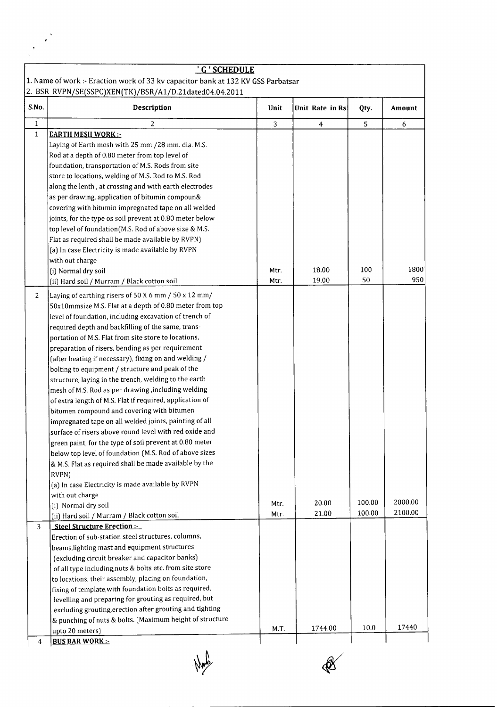|              | 'G'SCHEDULE                                                                      |      |                 |        |         |
|--------------|----------------------------------------------------------------------------------|------|-----------------|--------|---------|
|              | 1. Name of work :- Eraction work of 33 kv capacitor bank at 132 KV GSS Parbatsar |      |                 |        |         |
|              | 2. BSR RVPN/SE(SSPC)XEN(TK)/BSR/A1/D.21dated04.04.2011                           |      |                 |        |         |
| S.No.        | Description                                                                      | Unit | Unit Rate in Rs | Qty.   | Amount  |
| $\mathbf{1}$ | 2                                                                                | 3    | $\overline{4}$  | 5      | 6       |
| $\mathbf 1$  | <b>EARTH MESH WORK:</b>                                                          |      |                 |        |         |
|              | Laying of Earth mesh with 25 mm /28 mm. dia. M.S.                                |      |                 |        |         |
|              | Rod at a depth of 0.80 meter from top level of                                   |      |                 |        |         |
|              | foundation, transportation of M.S. Rods from site                                |      |                 |        |         |
|              | store to locations, welding of M.S. Rod to M.S. Rod                              |      |                 |        |         |
|              | along the lenth, at crossing and with earth electrodes                           |      |                 |        |         |
|              | as per drawing, application of bitumin compoun&                                  |      |                 |        |         |
|              | covering with bitumin impregnated tape on all welded                             |      |                 |        |         |
|              | joints, for the type os soil prevent at 0.80 meter below                         |      |                 |        |         |
|              | top level of foundation(M.S. Rod of above size & M.S.                            |      |                 |        |         |
|              | Flat as required shall be made available by RVPN)                                |      |                 |        |         |
|              | (a) In case Electricity is made available by RVPN                                |      |                 |        |         |
|              | with out charge                                                                  |      |                 |        |         |
|              | (i) Normal dry soil                                                              | Mtr. | 18.00           | 100    | 1800    |
|              | (ii) Hard soil / Murram / Black cotton soil                                      | Mtr. | 19.00           | 50     | 950     |
|              |                                                                                  |      |                 |        |         |
| 2            | Laying of earthing risers of 50 X 6 mm / 50 x 12 mm/                             |      |                 |        |         |
|              | 50x10mmsize M.S. Flat at a depth of 0.80 meter from top                          |      |                 |        |         |
|              | level of foundation, including excavation of trench of                           |      |                 |        |         |
|              | required depth and backfilling of the same, trans-                               |      |                 |        |         |
|              | portation of M.S. Flat from site store to locations,                             |      |                 |        |         |
|              | preparation of risers, bending as per requirement                                |      |                 |        |         |
|              | (after heating if necessary), fixing on and welding /                            |      |                 |        |         |
|              | bolting to equipment / structure and peak of the                                 |      |                 |        |         |
|              | structure, laying in the trench, welding to the earth                            |      |                 |        |         |
|              | mesh of M.S. Rod as per drawing, including welding                               |      |                 |        |         |
|              | of extra length of M.S. Flat if required, application of                         |      |                 |        |         |
|              | bitumen compound and covering with bitumen                                       |      |                 |        |         |
|              | impregnated tape on all welded joints, painting of all                           |      |                 |        |         |
|              | surface of risers above round level with red oxide and                           |      |                 |        |         |
|              | green paint, for the type of soil prevent at 0.80 meter                          |      |                 |        |         |
|              | below top level of foundation (M.S. Rod of above sizes                           |      |                 |        |         |
|              | & M.S. Flat as required shall be made available by the                           |      |                 |        |         |
|              | RVPN)                                                                            |      |                 |        |         |
|              | (a) In case Electricity is made available by RVPN                                |      |                 |        |         |
|              | with out charge                                                                  |      |                 |        | 2000.00 |
|              | (i) Normal dry soil                                                              | Mtr. | 20.00           | 100.00 | 2100.00 |
|              | (ii) Hard soil / Murram / Black cotton soil                                      | Mtr. | 21.00           | 100.00 |         |
| 3            | Steel Structure Erection:-                                                       |      |                 |        |         |
|              | Erection of sub-station steel structures, columns,                               |      |                 |        |         |
|              | beams, lighting mast and equipment structures                                    |      |                 |        |         |
|              | (excluding circuit breaker and capacitor banks)                                  |      |                 |        |         |
|              | of all type including, nuts & bolts etc. from site store                         |      |                 |        |         |
|              | to locations, their assembly, placing on foundation,                             |      |                 |        |         |
|              | fixing of template, with foundation bolts as required,                           |      |                 |        |         |
|              | levelling and preparing for grouting as required, but                            |      |                 |        |         |
|              | excluding grouting, erection after grouting and tighting                         |      |                 |        |         |
|              | & punching of nuts & bolts. (Maximum height of structure                         |      |                 |        |         |
|              | upto 20 meters)                                                                  | M.T. | 1744.00         | 10.0   | 17440   |

New

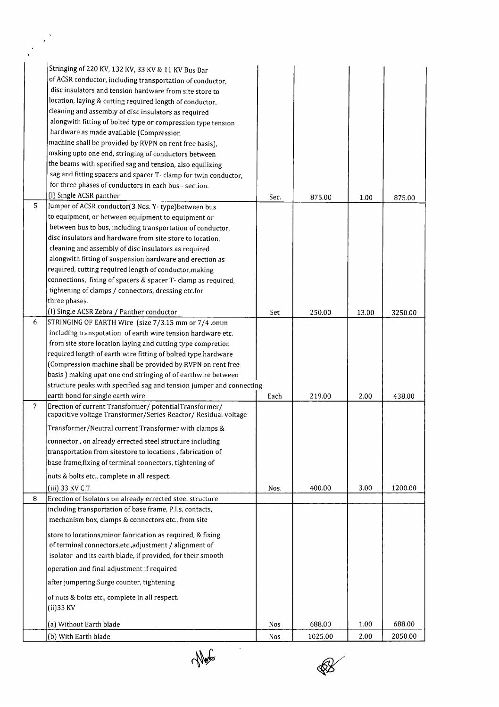|                | Stringing of 220 KV, 132 KV, 33 KV & 11 KV Bus Bar                                                                       |      |         |       |         |
|----------------|--------------------------------------------------------------------------------------------------------------------------|------|---------|-------|---------|
|                | of ACSR conductor, including transportation of conductor,                                                                |      |         |       |         |
|                | disc insulators and tension hardware from site store to                                                                  |      |         |       |         |
|                | location, laying & cutting required length of conductor,                                                                 |      |         |       |         |
|                | cleaning and assembly of disc insulators as required                                                                     |      |         |       |         |
|                | alongwith fitting of bolted type or compression type tension                                                             |      |         |       |         |
|                | hardware as made available (Compression                                                                                  |      |         |       |         |
|                | machine shall be provided by RVPN on rent free basis),                                                                   |      |         |       |         |
|                | making upto one end, stringing of conductors between                                                                     |      |         |       |         |
|                | the beams with specified sag and tension, also equilizing                                                                |      |         |       |         |
|                | sag and fitting spacers and spacer T- clamp for twin conductor,                                                          |      |         |       |         |
|                | for three phases of conductors in each bus - section.                                                                    |      |         |       |         |
|                | (I) Single ACSR panther                                                                                                  | Sec. | 875.00  | 1.00  | 875.00  |
| 5              | Jumper of ACSR conductor(3 Nos. Y-type) between bus                                                                      |      |         |       |         |
|                | to equipment, or between equipment to equipment or                                                                       |      |         |       |         |
|                | between bus to bus, including transportation of conductor,                                                               |      |         |       |         |
|                | disc insulators and hardware from site store to location,                                                                |      |         |       |         |
|                | cleaning and assembly of disc insulators as required                                                                     |      |         |       |         |
|                | alongwith fitting of suspension hardware and erection as                                                                 |      |         |       |         |
|                | required, cutting required length of conductor, making                                                                   |      |         |       |         |
|                | connections, fixing of spacers & spacer T- clamp as required,                                                            |      |         |       |         |
|                | tightening of clamps / connectors, dressing etc.for                                                                      |      |         |       |         |
|                | three phases.                                                                                                            |      |         |       |         |
|                |                                                                                                                          |      |         |       |         |
|                | (I) Single ACSR Zebra / Panther conductor                                                                                | Set  | 250.00  | 13.00 | 3250.00 |
| 6              | STRINGING OF EARTH Wire (size 7/3.15 mm or 7/4 .omm                                                                      |      |         |       |         |
|                | including transpotation of earth wire tension hardware etc.                                                              |      |         |       |         |
|                | from site store location laying and cutting type compretion                                                              |      |         |       |         |
|                | required length of earth wire fitting of bolted type hardware                                                            |      |         |       |         |
|                | (Compression machine shall be provided by RVPN on rent free                                                              |      |         |       |         |
|                | basis) making upat one end stringing of of earthwire between                                                             |      |         |       |         |
|                | structure peaks with specified sag and tension jumper and connecting                                                     |      |         |       |         |
| $\overline{7}$ | earth bond for single earth wire                                                                                         | Each | 219.00  | 2.00  | 438.00  |
|                | Erection of current Transformer/potentialTransformer/<br>capacitive voltage Transformer/Series Reactor/ Residual voltage |      |         |       |         |
|                | Transformer/Neutral current Transformer with clamps &                                                                    |      |         |       |         |
|                | connector, on already errected steel structure including                                                                 |      |         |       |         |
|                | transportation from sitestore to locations, fabrication of                                                               |      |         |       |         |
|                | base frame, fixing of terminal connectors, tightening of                                                                 |      |         |       |         |
|                | nuts & bolts etc., complete in all respect.                                                                              |      |         |       |         |
|                | (iii) 33 KV C.T.                                                                                                         | Nos. | 400.00  | 3.00  | 1200.00 |
| 8              | Erection of Isolators on already errected steel structure                                                                |      |         |       |         |
|                | including transportation of base frame, P.I.s, contacts,                                                                 |      |         |       |         |
|                | mechanism box, clamps & connectors etc., from site                                                                       |      |         |       |         |
|                | store to locations, minor fabrication as required, & fixing                                                              |      |         |       |         |
|                | of terminal connectors, etc., adjustment / alignment of                                                                  |      |         |       |         |
|                | isolator and its earth blade, if provided, for their smooth                                                              |      |         |       |         |
|                |                                                                                                                          |      |         |       |         |
|                | operation and final adjustment if required                                                                               |      |         |       |         |
|                | after jumpering.Surge counter, tightening                                                                                |      |         |       |         |
|                | of nuts & bolts etc., complete in all respect.                                                                           |      |         |       |         |
|                | (ii) 33 KV                                                                                                               |      |         |       |         |
|                |                                                                                                                          |      |         |       |         |
|                | (a) Without Earth blade                                                                                                  | Nos  | 688.00  | 1.00  | 688.00  |
|                | (b) With Earth blade                                                                                                     | Nos  | 1025.00 | 2.00  | 2050.00 |

 $\mathcal{L}^{\mathcal{N}}$ 

 $\frac{1}{\sqrt{\sqrt{2\pi}}}$ 

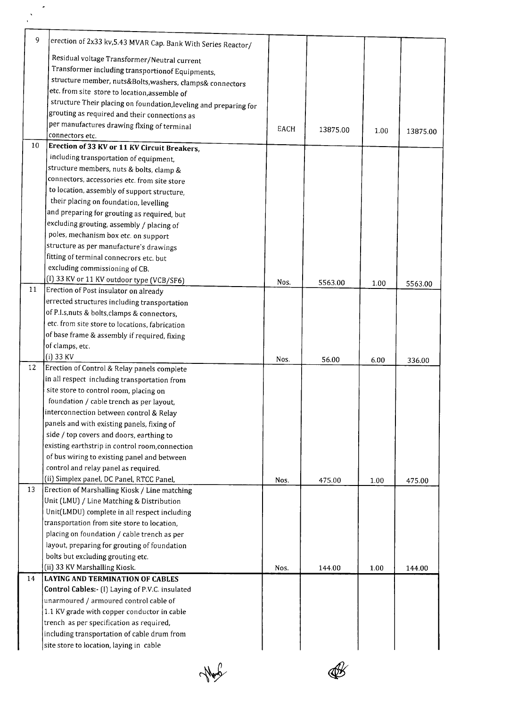| 9  | erection of 2x33 kv, 5.43 MVAR Cap. Bank With Series Reactor/                     |      |          |      |          |
|----|-----------------------------------------------------------------------------------|------|----------|------|----------|
|    | Residual voltage Transformer/Neutral current                                      |      |          |      |          |
|    | Transformer including transportionof Equipments,                                  |      |          |      |          |
|    | structure member, nuts&Bolts,washers, clamps& connectors                          |      |          |      |          |
|    | etc. from site store to location, assemble of                                     |      |          |      |          |
|    | structure Their placing on foundation, leveling and preparing for                 |      |          |      |          |
|    | grouting as required and their connections as                                     |      |          |      |          |
|    | per manufactures drawing flxing of terminal                                       |      |          |      |          |
|    | connectors etc.                                                                   | EACH | 13875.00 | 1.00 | 13875.00 |
| 10 | Erection of 33 KV or 11 KV Circuit Breakers,                                      |      |          |      |          |
|    | including transportation of equipment,                                            |      |          |      |          |
|    | structure members, nuts & bolts, clamp &                                          |      |          |      |          |
|    | connectors, accessories etc. from site store                                      |      |          |      |          |
|    | to location, assembly of support structure,                                       |      |          |      |          |
|    | their placing on foundation, levelling                                            |      |          |      |          |
|    | and preparing for grouting as required, but                                       |      |          |      |          |
|    | excluding grouting, assembly / placing of                                         |      |          |      |          |
|    | poles, mechanism box etc. on support                                              |      |          |      |          |
|    | structure as per manufacture's drawings                                           |      |          |      |          |
|    | fitting of terminal connecrors etc. but                                           |      |          |      |          |
|    | excluding commissioning of CB.                                                    |      |          |      |          |
|    | (I) 33 KV or 11 KV outdoor type (VCB/SF6)                                         | Nos. | 5563.00  | 1.00 | 5563.00  |
| 11 | Erection of Post insulator on already                                             |      |          |      |          |
|    | errected structures including transportation                                      |      |          |      |          |
|    | of P.I.s, nuts & bolts, clamps & connectors,                                      |      |          |      |          |
|    | etc. from site store to locations, fabrication                                    |      |          |      |          |
|    | of base frame & assembly if required, fixing                                      |      |          |      |          |
|    | of clamps, etc.                                                                   |      |          |      |          |
|    | $(i)$ 33 KV                                                                       | Nos. | 56.00    | 6.00 | 336.00   |
| 12 | Erection of Control & Relay panels complete                                       |      |          |      |          |
|    | in all respect including transportation from                                      |      |          |      |          |
|    | site store to control room, placing on                                            |      |          |      |          |
|    | foundation / cable trench as per layout,                                          |      |          |      |          |
|    | interconnection between control & Relay                                           |      |          |      |          |
|    | panels and with existing panels, fixing of                                        |      |          |      |          |
|    | side / top covers and doors, earthing to                                          |      |          |      |          |
|    | existing earthstrip in control room, connection                                   |      |          |      |          |
|    | of bus wiring to existing panel and between                                       |      |          |      |          |
|    | control and relay panel as required.<br>(ii) Simplex panel, DC Panel, RTCC Panel, |      |          |      |          |
| 13 | Erection of Marshalling Kiosk / Line matching                                     | Nos. | 475.00   | 1.00 | 475.00   |
|    | Unit (LMU) / Line Matching & Distribution                                         |      |          |      |          |
|    | Unit(LMDU) complete in all respect including                                      |      |          |      |          |
|    | transportation from site store to location,                                       |      |          |      |          |
|    | placing on foundation / cable trench as per                                       |      |          |      |          |
|    | layout, preparing for grouting of foundation                                      |      |          |      |          |
|    | bolts but excluding grouting etc.                                                 |      |          |      |          |
|    | (ii) 33 KV Marshalling Kiosk.                                                     | Nos. | 144.00   | 1.00 | 144.00   |
| 14 | <b>LAYING AND TERMINATION OF CABLES</b>                                           |      |          |      |          |
|    | Control Cables:- (I) Laying of P.V.C. insulated                                   |      |          |      |          |
|    | unarmoured / armoured control cable of                                            |      |          |      |          |
|    | 1.1 KV grade with copper conductor in cable                                       |      |          |      |          |
|    | trench as per specification as required,                                          |      |          |      |          |
|    | including transportation of cable drum from                                       |      |          |      |          |
|    | site store to location, laying in cable                                           |      |          |      |          |
|    |                                                                                   |      |          |      |          |

Non

 $\mathscr{B}$